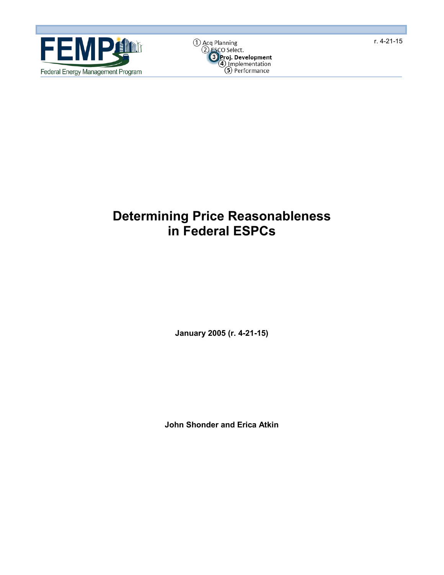



# **Determining Price Reasonableness in Federal ESPCs**

**January 2005 (r. 4-21-15)**

**John Shonder and Erica Atkin**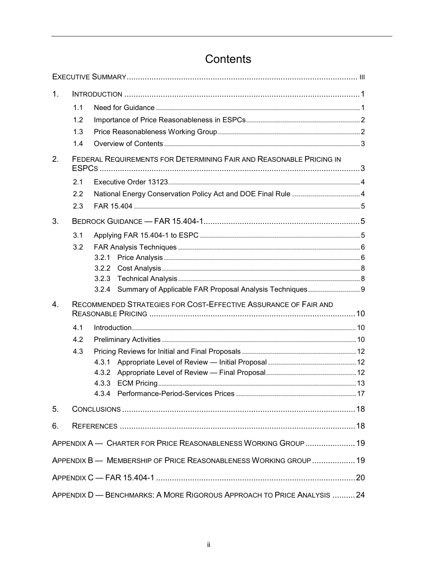| 1. |                                                                     |                                                                        |  |  |  |  |  |
|----|---------------------------------------------------------------------|------------------------------------------------------------------------|--|--|--|--|--|
|    | 1.1                                                                 |                                                                        |  |  |  |  |  |
|    | 1.2                                                                 |                                                                        |  |  |  |  |  |
|    | 1.3                                                                 |                                                                        |  |  |  |  |  |
|    | 1.4                                                                 |                                                                        |  |  |  |  |  |
| 2. | FEDERAL REQUIREMENTS FOR DETERMINING FAIR AND REASONABLE PRICING IN |                                                                        |  |  |  |  |  |
|    | 2.1                                                                 |                                                                        |  |  |  |  |  |
|    | 2.2                                                                 |                                                                        |  |  |  |  |  |
|    | 2.3                                                                 |                                                                        |  |  |  |  |  |
| 3. |                                                                     |                                                                        |  |  |  |  |  |
|    | 3.1                                                                 |                                                                        |  |  |  |  |  |
|    | 3.2                                                                 |                                                                        |  |  |  |  |  |
|    |                                                                     | 3.2.1                                                                  |  |  |  |  |  |
|    |                                                                     | 3.2.2                                                                  |  |  |  |  |  |
|    |                                                                     | 3.2.3                                                                  |  |  |  |  |  |
|    |                                                                     | Summary of Applicable FAR Proposal Analysis Techniques 9<br>3.2.4      |  |  |  |  |  |
| 4. | RECOMMENDED STRATEGIES FOR COST-EFFECTIVE ASSURANCE OF FAIR AND     |                                                                        |  |  |  |  |  |
|    | 4.1                                                                 |                                                                        |  |  |  |  |  |
|    | 4.2                                                                 |                                                                        |  |  |  |  |  |
|    | 4.3                                                                 |                                                                        |  |  |  |  |  |
|    |                                                                     | 4.3.1                                                                  |  |  |  |  |  |
|    |                                                                     | 4.3.2                                                                  |  |  |  |  |  |
|    |                                                                     | 4.3.3                                                                  |  |  |  |  |  |
|    |                                                                     | 4.3.4                                                                  |  |  |  |  |  |
| 5. |                                                                     |                                                                        |  |  |  |  |  |
| 6. |                                                                     |                                                                        |  |  |  |  |  |
|    |                                                                     | APPENDIX A - CHARTER FOR PRICE REASONABLENESS WORKING GROUP  19        |  |  |  |  |  |
|    |                                                                     | APPENDIX B - MEMBERSHIP OF PRICE REASONABLENESS WORKING GROUP  19      |  |  |  |  |  |
|    |                                                                     |                                                                        |  |  |  |  |  |
|    |                                                                     | APPENDIX D - BENCHMARKS: A MORE RIGOROUS APPROACH TO PRICE ANALYSIS 24 |  |  |  |  |  |

# Contents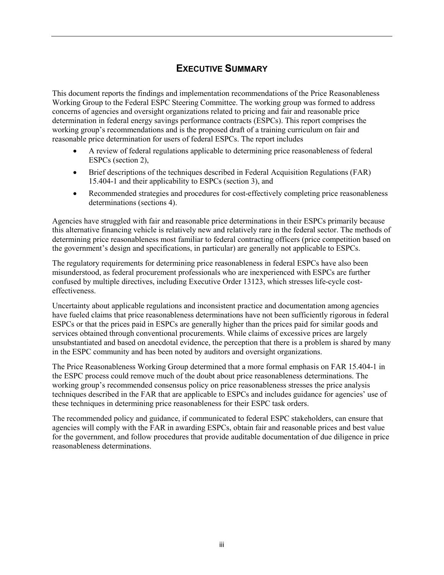# **EXECUTIVE SUMMARY**

<span id="page-2-0"></span>This document reports the findings and implementation recommendations of the Price Reasonableness Working Group to the Federal ESPC Steering Committee. The working group was formed to address concerns of agencies and oversight organizations related to pricing and fair and reasonable price determination in federal energy savings performance contracts (ESPCs). This report comprises the working group's recommendations and is the proposed draft of a training curriculum on fair and reasonable price determination for users of federal ESPCs. The report includes

- A review of federal regulations applicable to determining price reasonableness of federal ESPCs (section 2),
- Brief descriptions of the techniques described in Federal Acquisition Regulations (FAR) 15.404-1 and their applicability to ESPCs (section 3), and
- Recommended strategies and procedures for cost-effectively completing price reasonableness determinations (sections 4).

Agencies have struggled with fair and reasonable price determinations in their ESPCs primarily because this alternative financing vehicle is relatively new and relatively rare in the federal sector. The methods of determining price reasonableness most familiar to federal contracting officers (price competition based on the government's design and specifications, in particular) are generally not applicable to ESPCs.

The regulatory requirements for determining price reasonableness in federal ESPCs have also been misunderstood, as federal procurement professionals who are inexperienced with ESPCs are further confused by multiple directives, including Executive Order 13123, which stresses life-cycle costeffectiveness.

Uncertainty about applicable regulations and inconsistent practice and documentation among agencies have fueled claims that price reasonableness determinations have not been sufficiently rigorous in federal ESPCs or that the prices paid in ESPCs are generally higher than the prices paid for similar goods and services obtained through conventional procurements. While claims of excessive prices are largely unsubstantiated and based on anecdotal evidence, the perception that there is a problem is shared by many in the ESPC community and has been noted by auditors and oversight organizations.

The Price Reasonableness Working Group determined that a more formal emphasis on FAR 15.404-1 in the ESPC process could remove much of the doubt about price reasonableness determinations. The working group's recommended consensus policy on price reasonableness stresses the price analysis techniques described in the FAR that are applicable to ESPCs and includes guidance for agencies' use of these techniques in determining price reasonableness for their ESPC task orders.

The recommended policy and guidance, if communicated to federal ESPC stakeholders, can ensure that agencies will comply with the FAR in awarding ESPCs, obtain fair and reasonable prices and best value for the government, and follow procedures that provide auditable documentation of due diligence in price reasonableness determinations.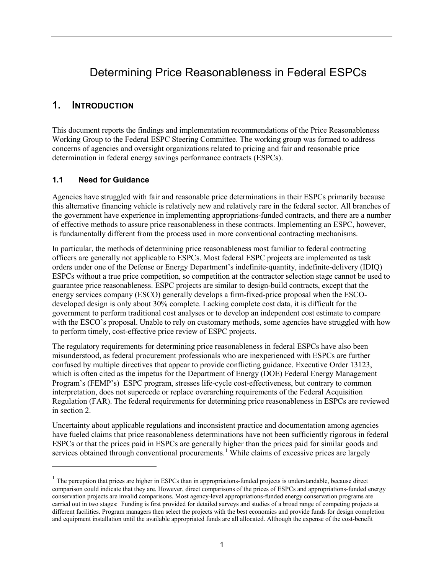# Determining Price Reasonableness in Federal ESPCs

## <span id="page-4-0"></span>**1. INTRODUCTION**

This document reports the findings and implementation recommendations of the Price Reasonableness Working Group to the Federal ESPC Steering Committee. The working group was formed to address concerns of agencies and oversight organizations related to pricing and fair and reasonable price determination in federal energy savings performance contracts (ESPCs).

#### <span id="page-4-1"></span>**1.1 Need for Guidance**

 $\overline{a}$ 

Agencies have struggled with fair and reasonable price determinations in their ESPCs primarily because this alternative financing vehicle is relatively new and relatively rare in the federal sector. All branches of the government have experience in implementing appropriations-funded contracts, and there are a number of effective methods to assure price reasonableness in these contracts. Implementing an ESPC, however, is fundamentally different from the process used in more conventional contracting mechanisms.

In particular, the methods of determining price reasonableness most familiar to federal contracting officers are generally not applicable to ESPCs. Most federal ESPC projects are implemented as task orders under one of the Defense or Energy Department's indefinite-quantity, indefinite-delivery (IDIQ) ESPCs without a true price competition, so competition at the contractor selection stage cannot be used to guarantee price reasonableness. ESPC projects are similar to design-build contracts, except that the energy services company (ESCO) generally develops a firm-fixed-price proposal when the ESCOdeveloped design is only about 30% complete. Lacking complete cost data, it is difficult for the government to perform traditional cost analyses or to develop an independent cost estimate to compare with the ESCO's proposal. Unable to rely on customary methods, some agencies have struggled with how to perform timely, cost-effective price review of ESPC projects.

The regulatory requirements for determining price reasonableness in federal ESPCs have also been misunderstood, as federal procurement professionals who are inexperienced with ESPCs are further confused by multiple directives that appear to provide conflicting guidance. Executive Order 13123, which is often cited as the impetus for the Department of Energy (DOE) Federal Energy Management Program's (FEMP's) ESPC program, stresses life-cycle cost-effectiveness, but contrary to common interpretation, does not supercede or replace overarching requirements of the Federal Acquisition Regulation (FAR). The federal requirements for determining price reasonableness in ESPCs are reviewed in section 2.

Uncertainty about applicable regulations and inconsistent practice and documentation among agencies have fueled claims that price reasonableness determinations have not been sufficiently rigorous in federal ESPCs or that the prices paid in ESPCs are generally higher than the prices paid for similar goods and services obtained through conventional procurements.<sup>[1](#page-4-2)</sup> While claims of excessive prices are largely

<span id="page-4-2"></span> $<sup>1</sup>$  The perception that prices are higher in ESPCs than in appropriations-funded projects is understandable, because direct</sup> comparison could indicate that they are. However, direct comparisons of the prices of ESPCs and appropriations-funded energy conservation projects are invalid comparisons. Most agency-level appropriations-funded energy conservation programs are carried out in two stages: Funding is first provided for detailed surveys and studies of a broad range of competing projects at different facilities. Program managers then select the projects with the best economics and provide funds for design completion and equipment installation until the available appropriated funds are all allocated. Although the expense of the cost-benefit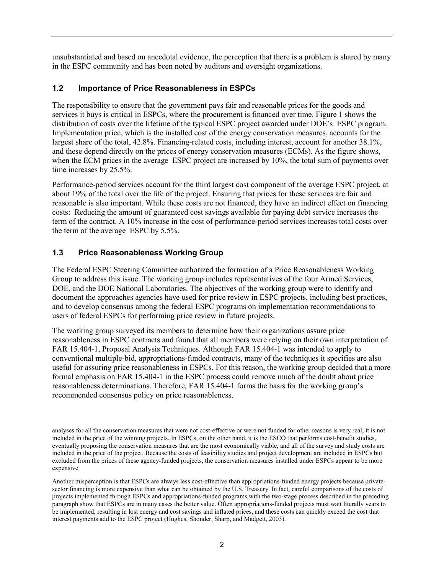unsubstantiated and based on anecdotal evidence, the perception that there is a problem is shared by many in the ESPC community and has been noted by auditors and oversight organizations.

## <span id="page-5-0"></span>**1.2 Importance of Price Reasonableness in ESPCs**

The responsibility to ensure that the government pays fair and reasonable prices for the goods and services it buys is critical in ESPCs, where the procurement is financed over time. Figure 1 shows the distribution of costs over the lifetime of the typical ESPC project awarded under DOE's ESPC program. Implementation price, which is the installed cost of the energy conservation measures, accounts for the largest share of the total, 42.8%. Financing-related costs, including interest, account for another 38.1%, and these depend directly on the prices of energy conservation measures (ECMs). As the figure shows, when the ECM prices in the average ESPC project are increased by 10%, the total sum of payments over time increases by 25.5%.

Performance-period services account for the third largest cost component of the average ESPC project, at about 19% of the total over the life of the project. Ensuring that prices for these services are fair and reasonable is also important. While these costs are not financed, they have an indirect effect on financing costs: Reducing the amount of guaranteed cost savings available for paying debt service increases the term of the contract. A 10% increase in the cost of performance-period services increases total costs over the term of the average ESPC by 5.5%.

### <span id="page-5-1"></span>**1.3 Price Reasonableness Working Group**

The Federal ESPC Steering Committee authorized the formation of a Price Reasonableness Working Group to address this issue. The working group includes representatives of the four Armed Services, DOE, and the DOE National Laboratories. The objectives of the working group were to identify and document the approaches agencies have used for price review in ESPC projects, including best practices, and to develop consensus among the federal ESPC programs on implementation recommendations to users of federal ESPCs for performing price review in future projects.

The working group surveyed its members to determine how their organizations assure price reasonableness in ESPC contracts and found that all members were relying on their own interpretation of FAR 15.404-1, Proposal Analysis Techniques. Although FAR 15.404-1 was intended to apply to conventional multiple-bid, appropriations-funded contracts, many of the techniques it specifies are also useful for assuring price reasonableness in ESPCs. For this reason, the working group decided that a more formal emphasis on FAR 15.404-1 in the ESPC process could remove much of the doubt about price reasonableness determinations. Therefore, FAR 15.404-1 forms the basis for the working group's recommended consensus policy on price reasonableness.

 analyses for all the conservation measures that were not cost-effective or were not funded for other reasons is very real, it is not included in the price of the winning projects. In ESPCs, on the other hand, it is the ESCO that performs cost-benefit studies, eventually proposing the conservation measures that are the most economically viable, and all of the survey and study costs are included in the price of the project. Because the costs of feasibility studies and project development are included in ESPCs but excluded from the prices of these agency-funded projects, the conservation measures installed under ESPCs appear to be more expensive.

Another misperception is that ESPCs are always less cost-effective than appropriations-funded energy projects because privatesector financing is more expensive than what can be obtained by the U.S. Treasury. In fact, careful comparisons of the costs of projects implemented through ESPCs and appropriations-funded programs with the two-stage process described in the preceding paragraph show that ESPCs are in many cases the better value. Often appropriations-funded projects must wait literally years to be implemented, resulting in lost energy and cost savings and inflated prices, and these costs can quickly exceed the cost that interest payments add to the ESPC project (Hughes, Shonder, Sharp, and Madgett, 2003).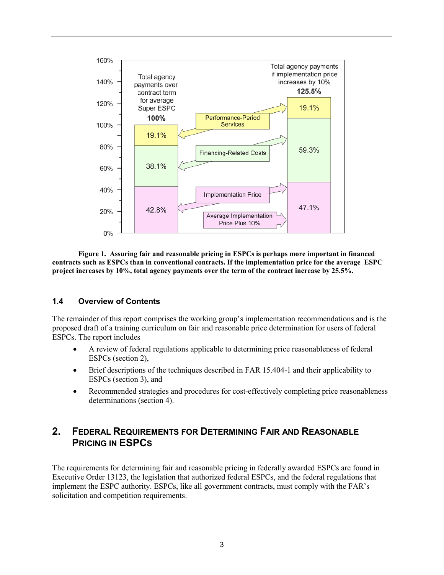

**Figure 1. Assuring fair and reasonable pricing in ESPCs is perhaps more important in financed contracts such as ESPCs than in conventional contracts. If the implementation price for the average ESPC project increases by 10%, total agency payments over the term of the contract increase by 25.5%.**

#### <span id="page-6-0"></span>**1.4 Overview of Contents**

The remainder of this report comprises the working group's implementation recommendations and is the proposed draft of a training curriculum on fair and reasonable price determination for users of federal ESPCs. The report includes

- A review of federal regulations applicable to determining price reasonableness of federal ESPCs (section 2),
- Brief descriptions of the techniques described in FAR 15.404-1 and their applicability to ESPCs (section 3), and
- Recommended strategies and procedures for cost-effectively completing price reasonableness determinations (section 4).

## <span id="page-6-1"></span>**2. FEDERAL REQUIREMENTS FOR DETERMINING FAIR AND REASONABLE PRICING IN ESPCS**

The requirements for determining fair and reasonable pricing in federally awarded ESPCs are found in Executive Order 13123, the legislation that authorized federal ESPCs, and the federal regulations that implement the ESPC authority. ESPCs, like all government contracts, must comply with the FAR's solicitation and competition requirements.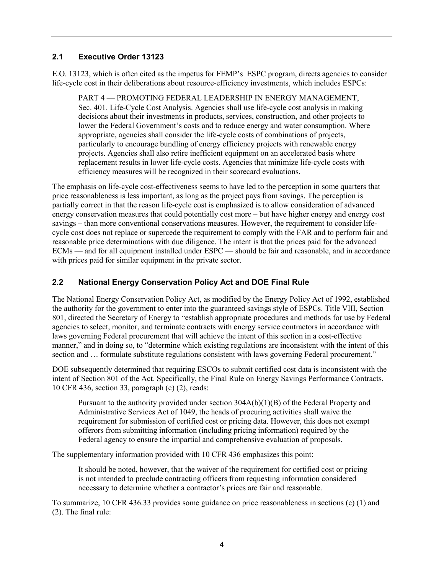#### <span id="page-7-0"></span>**2.1 Executive Order 13123**

E.O. 13123, which is often cited as the impetus for FEMP's ESPC program, directs agencies to consider life-cycle cost in their deliberations about resource-efficiency investments, which includes ESPCs:

PART 4 — PROMOTING FEDERAL LEADERSHIP IN ENERGY MANAGEMENT, Sec. 401. Life-Cycle Cost Analysis. Agencies shall use life-cycle cost analysis in making decisions about their investments in products, services, construction, and other projects to lower the Federal Government's costs and to reduce energy and water consumption. Where appropriate, agencies shall consider the life-cycle costs of combinations of projects, particularly to encourage bundling of energy efficiency projects with renewable energy projects. Agencies shall also retire inefficient equipment on an accelerated basis where replacement results in lower life-cycle costs. Agencies that minimize life-cycle costs with efficiency measures will be recognized in their scorecard evaluations.

The emphasis on life-cycle cost-effectiveness seems to have led to the perception in some quarters that price reasonableness is less important, as long as the project pays from savings. The perception is partially correct in that the reason life-cycle cost is emphasized is to allow consideration of advanced energy conservation measures that could potentially cost more – but have higher energy and energy cost savings – than more conventional conservations measures. However, the requirement to consider lifecycle cost does not replace or supercede the requirement to comply with the FAR and to perform fair and reasonable price determinations with due diligence. The intent is that the prices paid for the advanced ECMs — and for all equipment installed under ESPC — should be fair and reasonable, and in accordance with prices paid for similar equipment in the private sector.

### <span id="page-7-1"></span>**2.2 National Energy Conservation Policy Act and DOE Final Rule**

The National Energy Conservation Policy Act, as modified by the Energy Policy Act of 1992, established the authority for the government to enter into the guaranteed savings style of ESPCs. Title VIII, Section 801, directed the Secretary of Energy to "establish appropriate procedures and methods for use by Federal agencies to select, monitor, and terminate contracts with energy service contractors in accordance with laws governing Federal procurement that will achieve the intent of this section in a cost-effective manner," and in doing so, to "determine which existing regulations are inconsistent with the intent of this section and … formulate substitute regulations consistent with laws governing Federal procurement."

DOE subsequently determined that requiring ESCOs to submit certified cost data is inconsistent with the intent of Section 801 of the Act. Specifically, the Final Rule on Energy Savings Performance Contracts, 10 CFR 436, section 33, paragraph (c) (2), reads:

Pursuant to the authority provided under section 304A(b)(1)(B) of the Federal Property and Administrative Services Act of 1049, the heads of procuring activities shall waive the requirement for submission of certified cost or pricing data. However, this does not exempt offerors from submitting information (including pricing information) required by the Federal agency to ensure the impartial and comprehensive evaluation of proposals.

The supplementary information provided with 10 CFR 436 emphasizes this point:

It should be noted, however, that the waiver of the requirement for certified cost or pricing is not intended to preclude contracting officers from requesting information considered necessary to determine whether a contractor's prices are fair and reasonable.

To summarize, 10 CFR 436.33 provides some guidance on price reasonableness in sections (c) (1) and (2). The final rule: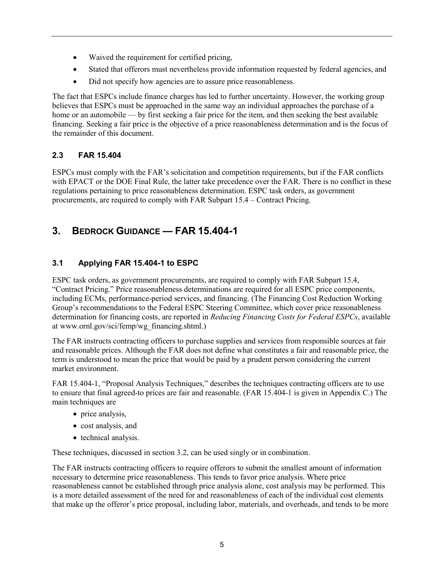- Waived the requirement for certified pricing,
- Stated that offerors must nevertheless provide information requested by federal agencies, and
- Did not specify how agencies are to assure price reasonableness.

The fact that ESPCs include finance charges has led to further uncertainty. However, the working group believes that ESPCs must be approached in the same way an individual approaches the purchase of a home or an automobile — by first seeking a fair price for the item, and then seeking the best available financing. Seeking a fair price is the objective of a price reasonableness determination and is the focus of the remainder of this document.

## <span id="page-8-0"></span>**2.3 FAR 15.404**

ESPCs must comply with the FAR's solicitation and competition requirements, but if the FAR conflicts with EPACT or the DOE Final Rule, the latter take precedence over the FAR. There is no conflict in these regulations pertaining to price reasonableness determination. ESPC task orders, as government procurements, are required to comply with FAR Subpart 15.4 – Contract Pricing.

# <span id="page-8-1"></span>**3. BEDROCK GUIDANCE — FAR 15.404-1**

## <span id="page-8-2"></span>**3.1 Applying FAR 15.404-1 to ESPC**

ESPC task orders, as government procurements, are required to comply with FAR Subpart 15.4, "Contract Pricing." Price reasonableness determinations are required for all ESPC price components, including ECMs, performance-period services, and financing. (The Financing Cost Reduction Working Group's recommendations to the Federal ESPC Steering Committee, which cover price reasonableness determination for financing costs, are reported in *Reducing Financing Costs for Federal ESPCs*, available at www.ornl.gov/sci/femp/wg\_financing.shtml.)

The FAR instructs contracting officers to purchase supplies and services from responsible sources at fair and reasonable prices. Although the FAR does not define what constitutes a fair and reasonable price, the term is understood to mean the price that would be paid by a prudent person considering the current market environment.

FAR 15.404-1, "Proposal Analysis Techniques," describes the techniques contracting officers are to use to ensure that final agreed-to prices are fair and reasonable. (FAR 15.404-1 is given in Appendix C.) The main techniques are

- price analysis,
- cost analysis, and
- technical analysis.

These techniques, discussed in section 3.2, can be used singly or in combination.

The FAR instructs contracting officers to require offerors to submit the smallest amount of information necessary to determine price reasonableness. This tends to favor price analysis. Where price reasonableness cannot be established through price analysis alone, cost analysis may be performed. This is a more detailed assessment of the need for and reasonableness of each of the individual cost elements that make up the offeror's price proposal, including labor, materials, and overheads, and tends to be more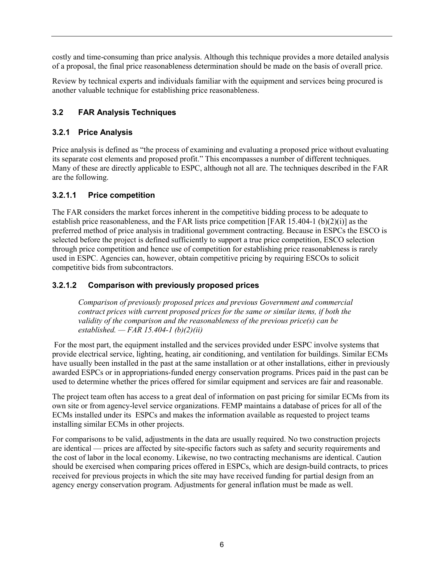costly and time-consuming than price analysis. Although this technique provides a more detailed analysis of a proposal, the final price reasonableness determination should be made on the basis of overall price.

Review by technical experts and individuals familiar with the equipment and services being procured is another valuable technique for establishing price reasonableness.

## <span id="page-9-0"></span>**3.2 FAR Analysis Techniques**

## <span id="page-9-1"></span>**3.2.1 Price Analysis**

Price analysis is defined as "the process of examining and evaluating a proposed price without evaluating its separate cost elements and proposed profit." This encompasses a number of different techniques. Many of these are directly applicable to ESPC, although not all are. The techniques described in the FAR are the following.

## **3.2.1.1 Price competition**

The FAR considers the market forces inherent in the competitive bidding process to be adequate to establish price reasonableness, and the FAR lists price competition [FAR 15.404-1 (b)(2)(i)] as the preferred method of price analysis in traditional government contracting. Because in ESPCs the ESCO is selected before the project is defined sufficiently to support a true price competition, ESCO selection through price competition and hence use of competition for establishing price reasonableness is rarely used in ESPC. Agencies can, however, obtain competitive pricing by requiring ESCOs to solicit competitive bids from subcontractors.

## **3.2.1.2 Comparison with previously proposed prices**

*Comparison of previously proposed prices and previous Government and commercial contract prices with current proposed prices for the same or similar items, if both the validity of the comparison and the reasonableness of the previous price(s) can be established. — FAR 15.404-1 (b)(2)(ii)*

For the most part, the equipment installed and the services provided under ESPC involve systems that provide electrical service, lighting, heating, air conditioning, and ventilation for buildings. Similar ECMs have usually been installed in the past at the same installation or at other installations, either in previously awarded ESPCs or in appropriations-funded energy conservation programs. Prices paid in the past can be used to determine whether the prices offered for similar equipment and services are fair and reasonable.

The project team often has access to a great deal of information on past pricing for similar ECMs from its own site or from agency-level service organizations. FEMP maintains a database of prices for all of the ECMs installed under its ESPCs and makes the information available as requested to project teams installing similar ECMs in other projects.

For comparisons to be valid, adjustments in the data are usually required. No two construction projects are identical — prices are affected by site-specific factors such as safety and security requirements and the cost of labor in the local economy. Likewise, no two contracting mechanisms are identical. Caution should be exercised when comparing prices offered in ESPCs, which are design-build contracts, to prices received for previous projects in which the site may have received funding for partial design from an agency energy conservation program. Adjustments for general inflation must be made as well.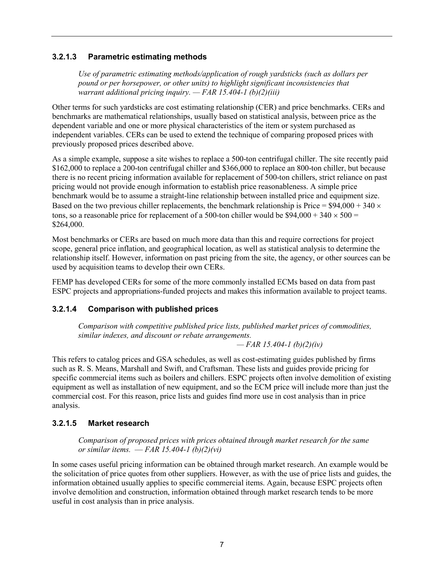#### **3.2.1.3 Parametric estimating methods**

*Use of parametric estimating methods/application of rough yardsticks (such as dollars per pound or per horsepower, or other units) to highlight significant inconsistencies that warrant additional pricing inquiry. — FAR 15.404-1 (b)(2)(iii)*

Other terms for such yardsticks are cost estimating relationship (CER) and price benchmarks. CERs and benchmarks are mathematical relationships, usually based on statistical analysis, between price as the dependent variable and one or more physical characteristics of the item or system purchased as independent variables. CERs can be used to extend the technique of comparing proposed prices with previously proposed prices described above.

As a simple example, suppose a site wishes to replace a 500-ton centrifugal chiller. The site recently paid \$162,000 to replace a 200-ton centrifugal chiller and \$366,000 to replace an 800-ton chiller, but because there is no recent pricing information available for replacement of 500-ton chillers, strict reliance on past pricing would not provide enough information to establish price reasonableness. A simple price benchmark would be to assume a straight-line relationship between installed price and equipment size. Based on the two previous chiller replacements, the benchmark relationship is Price =  $$94,000 + 340 \times$ tons, so a reasonable price for replacement of a 500-ton chiller would be \$94,000 + 340  $\times$  500 = \$264,000.

Most benchmarks or CERs are based on much more data than this and require corrections for project scope, general price inflation, and geographical location, as well as statistical analysis to determine the relationship itself. However, information on past pricing from the site, the agency, or other sources can be used by acquisition teams to develop their own CERs.

FEMP has developed CERs for some of the more commonly installed ECMs based on data from past ESPC projects and appropriations-funded projects and makes this information available to project teams.

### **3.2.1.4 Comparison with published prices**

*Comparison with competitive published price lists, published market prices of commodities, similar indexes, and discount or rebate arrangements.*

*— FAR 15.404-1 (b)(2)(iv)*

This refers to catalog prices and GSA schedules, as well as cost-estimating guides published by firms such as R. S. Means, Marshall and Swift, and Craftsman. These lists and guides provide pricing for specific commercial items such as boilers and chillers. ESPC projects often involve demolition of existing equipment as well as installation of new equipment, and so the ECM price will include more than just the commercial cost. For this reason, price lists and guides find more use in cost analysis than in price analysis.

### **3.2.1.5 Market research**

*Comparison of proposed prices with prices obtained through market research for the same or similar items.* — *FAR 15.404-1 (b)(2)(vi)*

In some cases useful pricing information can be obtained through market research. An example would be the solicitation of price quotes from other suppliers. However, as with the use of price lists and guides, the information obtained usually applies to specific commercial items. Again, because ESPC projects often involve demolition and construction, information obtained through market research tends to be more useful in cost analysis than in price analysis.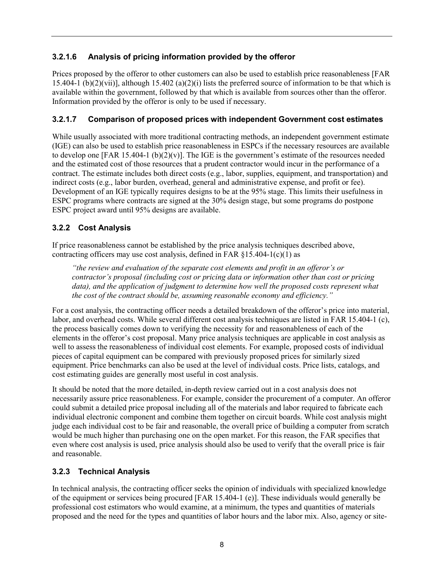## **3.2.1.6 Analysis of pricing information provided by the offeror**

Prices proposed by the offeror to other customers can also be used to establish price reasonableness [FAR 15.404-1 (b)(2)(vii)], although 15.402 (a)(2)(i) lists the preferred source of information to be that which is available within the government, followed by that which is available from sources other than the offeror. Information provided by the offeror is only to be used if necessary.

#### **3.2.1.7 Comparison of proposed prices with independent Government cost estimates**

While usually associated with more traditional contracting methods, an independent government estimate (IGE) can also be used to establish price reasonableness in ESPCs if the necessary resources are available to develop one [FAR 15.404-1 (b)(2)(v)]. The IGE is the government's estimate of the resources needed and the estimated cost of those resources that a prudent contractor would incur in the performance of a contract. The estimate includes both direct costs (e.g., labor, supplies, equipment, and transportation) and indirect costs (e.g., labor burden, overhead, general and administrative expense, and profit or fee). Development of an IGE typically requires designs to be at the 95% stage. This limits their usefulness in ESPC programs where contracts are signed at the 30% design stage, but some programs do postpone ESPC project award until 95% designs are available.

### <span id="page-11-0"></span>**3.2.2 Cost Analysis**

If price reasonableness cannot be established by the price analysis techniques described above, contracting officers may use cost analysis, defined in FAR  $$15.404-1(c)(1)$  as

*"the review and evaluation of the separate cost elements and profit in an offeror's or contractor's proposal (including cost or pricing data or information other than cost or pricing*  data), and the application of judgment to determine how well the proposed costs represent what *the cost of the contract should be, assuming reasonable economy and efficiency."*

For a cost analysis, the contracting officer needs a detailed breakdown of the offeror's price into material, labor, and overhead costs. While several different cost analysis techniques are listed in FAR 15.404-1 (c), the process basically comes down to verifying the necessity for and reasonableness of each of the elements in the offeror's cost proposal. Many price analysis techniques are applicable in cost analysis as well to assess the reasonableness of individual cost elements. For example, proposed costs of individual pieces of capital equipment can be compared with previously proposed prices for similarly sized equipment. Price benchmarks can also be used at the level of individual costs. Price lists, catalogs, and cost estimating guides are generally most useful in cost analysis.

It should be noted that the more detailed, in-depth review carried out in a cost analysis does not necessarily assure price reasonableness. For example, consider the procurement of a computer. An offeror could submit a detailed price proposal including all of the materials and labor required to fabricate each individual electronic component and combine them together on circuit boards. While cost analysis might judge each individual cost to be fair and reasonable, the overall price of building a computer from scratch would be much higher than purchasing one on the open market. For this reason, the FAR specifies that even where cost analysis is used, price analysis should also be used to verify that the overall price is fair and reasonable.

### <span id="page-11-1"></span>**3.2.3 Technical Analysis**

In technical analysis, the contracting officer seeks the opinion of individuals with specialized knowledge of the equipment or services being procured [FAR 15.404-1 (e)]. These individuals would generally be professional cost estimators who would examine, at a minimum, the types and quantities of materials proposed and the need for the types and quantities of labor hours and the labor mix. Also, agency or site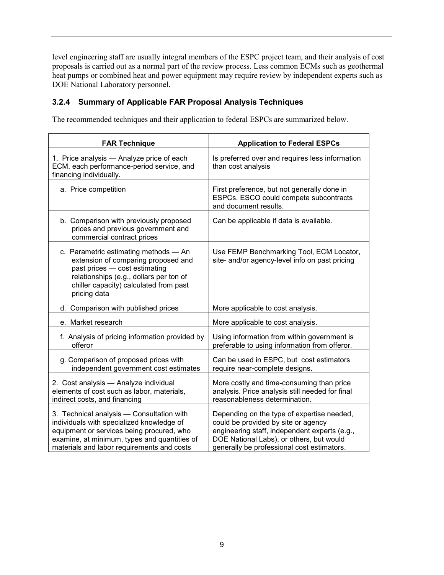level engineering staff are usually integral members of the ESPC project team, and their analysis of cost proposals is carried out as a normal part of the review process. Less common ECMs such as geothermal heat pumps or combined heat and power equipment may require review by independent experts such as DOE National Laboratory personnel.

## <span id="page-12-0"></span>**3.2.4 Summary of Applicable FAR Proposal Analysis Techniques**

The recommended techniques and their application to federal ESPCs are summarized below.

| <b>FAR Technique</b>                                                                                                                                                                                                              | <b>Application to Federal ESPCs</b>                                                                                                                                                                                          |
|-----------------------------------------------------------------------------------------------------------------------------------------------------------------------------------------------------------------------------------|------------------------------------------------------------------------------------------------------------------------------------------------------------------------------------------------------------------------------|
| 1. Price analysis - Analyze price of each<br>ECM, each performance-period service, and<br>financing individually.                                                                                                                 | Is preferred over and requires less information<br>than cost analysis                                                                                                                                                        |
| a. Price competition                                                                                                                                                                                                              | First preference, but not generally done in<br>ESPCs. ESCO could compete subcontracts<br>and document results.                                                                                                               |
| b. Comparison with previously proposed<br>prices and previous government and<br>commercial contract prices                                                                                                                        | Can be applicable if data is available.                                                                                                                                                                                      |
| c. Parametric estimating methods - An<br>extension of comparing proposed and<br>past prices - cost estimating<br>relationships (e.g., dollars per ton of<br>chiller capacity) calculated from past<br>pricing data                | Use FEMP Benchmarking Tool, ECM Locator,<br>site- and/or agency-level info on past pricing                                                                                                                                   |
| d. Comparison with published prices                                                                                                                                                                                               | More applicable to cost analysis.                                                                                                                                                                                            |
| e. Market research                                                                                                                                                                                                                | More applicable to cost analysis.                                                                                                                                                                                            |
| f. Analysis of pricing information provided by<br>offeror                                                                                                                                                                         | Using information from within government is<br>preferable to using information from offeror.                                                                                                                                 |
| g. Comparison of proposed prices with<br>independent government cost estimates                                                                                                                                                    | Can be used in ESPC, but cost estimators<br>require near-complete designs.                                                                                                                                                   |
| 2. Cost analysis - Analyze individual<br>elements of cost such as labor, materials,<br>indirect costs, and financing                                                                                                              | More costly and time-consuming than price<br>analysis. Price analysis still needed for final<br>reasonableness determination.                                                                                                |
| 3. Technical analysis - Consultation with<br>individuals with specialized knowledge of<br>equipment or services being procured, who<br>examine, at minimum, types and quantities of<br>materials and labor requirements and costs | Depending on the type of expertise needed,<br>could be provided by site or agency<br>engineering staff, independent experts (e.g.,<br>DOE National Labs), or others, but would<br>generally be professional cost estimators. |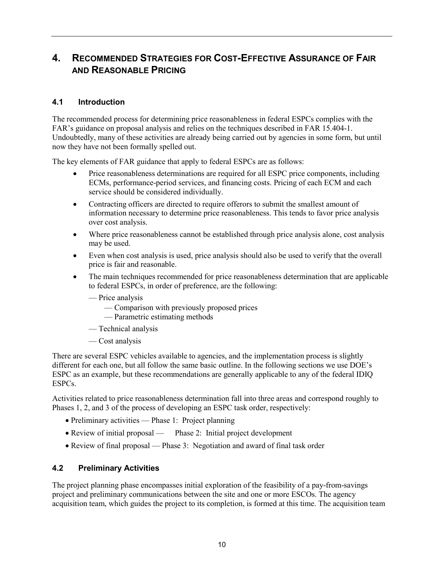# <span id="page-13-0"></span>**4. RECOMMENDED STRATEGIES FOR COST-EFFECTIVE ASSURANCE OF FAIR AND REASONABLE PRICING**

#### <span id="page-13-1"></span>**4.1 Introduction**

The recommended process for determining price reasonableness in federal ESPCs complies with the FAR's guidance on proposal analysis and relies on the techniques described in FAR 15.404-1. Undoubtedly, many of these activities are already being carried out by agencies in some form, but until now they have not been formally spelled out.

The key elements of FAR guidance that apply to federal ESPCs are as follows:

- Price reasonableness determinations are required for all ESPC price components, including ECMs, performance-period services, and financing costs. Pricing of each ECM and each service should be considered individually.
- Contracting officers are directed to require offerors to submit the smallest amount of information necessary to determine price reasonableness. This tends to favor price analysis over cost analysis.
- Where price reasonableness cannot be established through price analysis alone, cost analysis may be used.
- Even when cost analysis is used, price analysis should also be used to verify that the overall price is fair and reasonable.
- The main techniques recommended for price reasonableness determination that are applicable to federal ESPCs, in order of preference, are the following:
	- Price analysis
		- Comparison with previously proposed prices
		- Parametric estimating methods
	- Technical analysis
	- Cost analysis

There are several ESPC vehicles available to agencies, and the implementation process is slightly different for each one, but all follow the same basic outline. In the following sections we use DOE's ESPC as an example, but these recommendations are generally applicable to any of the federal IDIQ ESPCs.

Activities related to price reasonableness determination fall into three areas and correspond roughly to Phases 1, 2, and 3 of the process of developing an ESPC task order, respectively:

- Preliminary activities Phase 1: Project planning
- Review of initial proposal Phase 2: Initial project development
- Review of final proposal Phase 3: Negotiation and award of final task order

#### <span id="page-13-2"></span>**4.2 Preliminary Activities**

The project planning phase encompasses initial exploration of the feasibility of a pay-from-savings project and preliminary communications between the site and one or more ESCOs. The agency acquisition team, which guides the project to its completion, is formed at this time. The acquisition team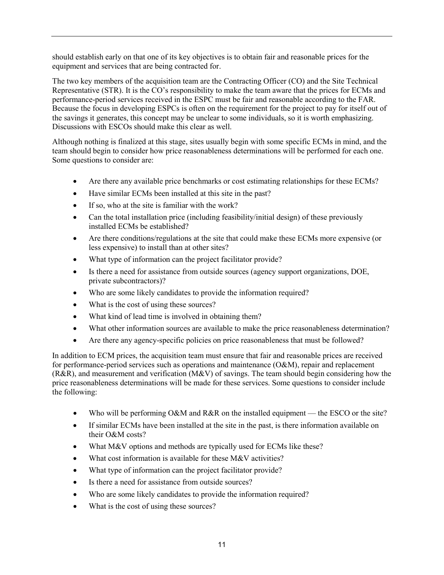should establish early on that one of its key objectives is to obtain fair and reasonable prices for the equipment and services that are being contracted for.

The two key members of the acquisition team are the Contracting Officer (CO) and the Site Technical Representative (STR). It is the CO's responsibility to make the team aware that the prices for ECMs and performance-period services received in the ESPC must be fair and reasonable according to the FAR. Because the focus in developing ESPCs is often on the requirement for the project to pay for itself out of the savings it generates, this concept may be unclear to some individuals, so it is worth emphasizing. Discussions with ESCOs should make this clear as well.

Although nothing is finalized at this stage, sites usually begin with some specific ECMs in mind, and the team should begin to consider how price reasonableness determinations will be performed for each one. Some questions to consider are:

- Are there any available price benchmarks or cost estimating relationships for these ECMs?
- Have similar ECMs been installed at this site in the past?
- If so, who at the site is familiar with the work?
- Can the total installation price (including feasibility/initial design) of these previously installed ECMs be established?
- Are there conditions/regulations at the site that could make these ECMs more expensive (or less expensive) to install than at other sites?
- What type of information can the project facilitator provide?
- Is there a need for assistance from outside sources (agency support organizations, DOE, private subcontractors)?
- Who are some likely candidates to provide the information required?
- What is the cost of using these sources?
- What kind of lead time is involved in obtaining them?
- What other information sources are available to make the price reasonableness determination?
- Are there any agency-specific policies on price reasonableness that must be followed?

In addition to ECM prices, the acquisition team must ensure that fair and reasonable prices are received for performance-period services such as operations and maintenance  $(O&M)$ , repair and replacement  $(R&R)$ , and measurement and verification  $(M&V)$  of savings. The team should begin considering how the price reasonableness determinations will be made for these services. Some questions to consider include the following:

- Who will be performing O&M and R&R on the installed equipment the ESCO or the site?
- If similar ECMs have been installed at the site in the past, is there information available on their O&M costs?
- What M&V options and methods are typically used for ECMs like these?
- What cost information is available for these M&V activities?
- What type of information can the project facilitator provide?
- Is there a need for assistance from outside sources?
- Who are some likely candidates to provide the information required?
- What is the cost of using these sources?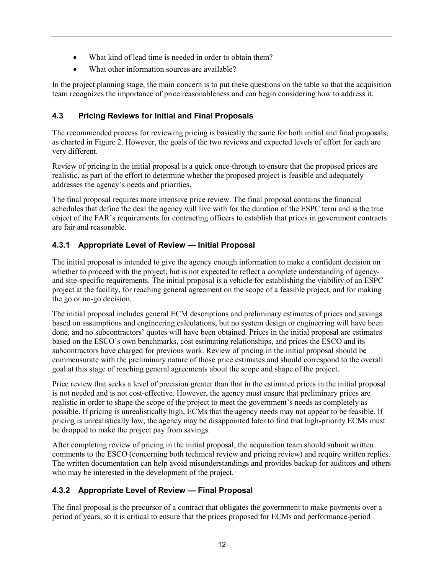- What kind of lead time is needed in order to obtain them?
- What other information sources are available?

In the project planning stage, the main concern is to put these questions on the table so that the acquisition team recognizes the importance of price reasonableness and can begin considering how to address it.

## <span id="page-15-0"></span>**4.3 Pricing Reviews for Initial and Final Proposals**

The recommended process for reviewing pricing is basically the same for both initial and final proposals, as charted in Figure 2. However, the goals of the two reviews and expected levels of effort for each are very different.

Review of pricing in the initial proposal is a quick once-through to ensure that the proposed prices are realistic, as part of the effort to determine whether the proposed project is feasible and adequately addresses the agency's needs and priorities.

The final proposal requires more intensive price review. The final proposal contains the financial schedules that define the deal the agency will live with for the duration of the ESPC term and is the true object of the FAR's requirements for contracting officers to establish that prices in government contracts are fair and reasonable.

## <span id="page-15-1"></span>**4.3.1 Appropriate Level of Review — Initial Proposal**

The initial proposal is intended to give the agency enough information to make a confident decision on whether to proceed with the project, but is not expected to reflect a complete understanding of agencyand site-specific requirements. The initial proposal is a vehicle for establishing the viability of an ESPC project at the facility, for reaching general agreement on the scope of a feasible project, and for making the go or no-go decision.

The initial proposal includes general ECM descriptions and preliminary estimates of prices and savings based on assumptions and engineering calculations, but no system design or engineering will have been done, and no subcontractors' quotes will have been obtained. Prices in the initial proposal are estimates based on the ESCO's own benchmarks, cost estimating relationships, and prices the ESCO and its subcontractors have charged for previous work. Review of pricing in the initial proposal should be commensurate with the preliminary nature of those price estimates and should correspond to the overall goal at this stage of reaching general agreements about the scope and shape of the project.

Price review that seeks a level of precision greater than that in the estimated prices in the initial proposal is not needed and is not cost-effective. However, the agency must ensure that preliminary prices are realistic in order to shape the scope of the project to meet the government's needs as completely as possible. If pricing is unrealistically high, ECMs that the agency needs may not appear to be feasible. If pricing is unrealistically low, the agency may be disappointed later to find that high-priority ECMs must be dropped to make the project pay from savings.

After completing review of pricing in the initial proposal, the acquisition team should submit written comments to the ESCO (concerning both technical review and pricing review) and require written replies. The written documentation can help avoid misunderstandings and provides backup for auditors and others who may be interested in the development of the project.

### <span id="page-15-2"></span>**4.3.2 Appropriate Level of Review — Final Proposal**

The final proposal is the precursor of a contract that obligates the government to make payments over a period of years, so it is critical to ensure that the prices proposed for ECMs and performance-period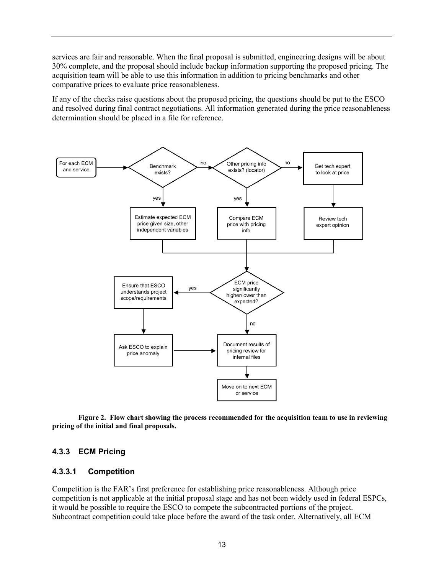services are fair and reasonable. When the final proposal is submitted, engineering designs will be about 30% complete, and the proposal should include backup information supporting the proposed pricing. The acquisition team will be able to use this information in addition to pricing benchmarks and other comparative prices to evaluate price reasonableness.

If any of the checks raise questions about the proposed pricing, the questions should be put to the ESCO and resolved during final contract negotiations. All information generated during the price reasonableness determination should be placed in a file for reference.



**Figure 2. Flow chart showing the process recommended for the acquisition team to use in reviewing pricing of the initial and final proposals.**

#### <span id="page-16-0"></span>**4.3.3 ECM Pricing**

#### **4.3.3.1 Competition**

Competition is the FAR's first preference for establishing price reasonableness. Although price competition is not applicable at the initial proposal stage and has not been widely used in federal ESPCs, it would be possible to require the ESCO to compete the subcontracted portions of the project. Subcontract competition could take place before the award of the task order. Alternatively, all ECM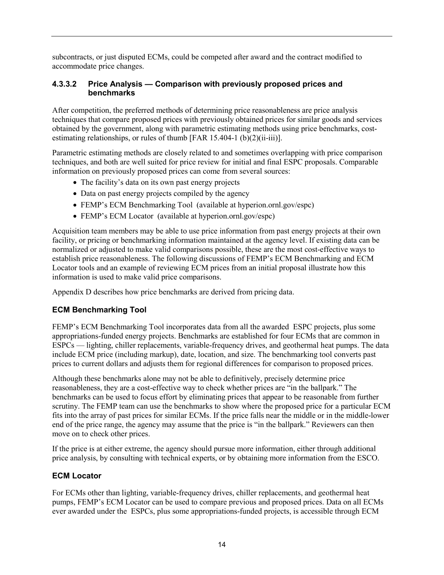subcontracts, or just disputed ECMs, could be competed after award and the contract modified to accommodate price changes.

#### **4.3.3.2 Price Analysis — Comparison with previously proposed prices and benchmarks**

After competition, the preferred methods of determining price reasonableness are price analysis techniques that compare proposed prices with previously obtained prices for similar goods and services obtained by the government, along with parametric estimating methods using price benchmarks, costestimating relationships, or rules of thumb [FAR 15.404-1 (b) $(2)(ii-iii)$ ].

Parametric estimating methods are closely related to and sometimes overlapping with price comparison techniques, and both are well suited for price review for initial and final ESPC proposals. Comparable information on previously proposed prices can come from several sources:

- The facility's data on its own past energy projects
- Data on past energy projects compiled by the agency
- FEMP's ECM Benchmarking Tool (available at hyperion.ornl.gov/espc)
- FEMP's ECM Locator (available at hyperion.ornl.gov/espc)

Acquisition team members may be able to use price information from past energy projects at their own facility, or pricing or benchmarking information maintained at the agency level. If existing data can be normalized or adjusted to make valid comparisons possible, these are the most cost-effective ways to establish price reasonableness. The following discussions of FEMP's ECM Benchmarking and ECM Locator tools and an example of reviewing ECM prices from an initial proposal illustrate how this information is used to make valid price comparisons.

Appendix D describes how price benchmarks are derived from pricing data.

### **ECM Benchmarking Tool**

FEMP's ECM Benchmarking Tool incorporates data from all the awarded ESPC projects, plus some appropriations-funded energy projects. Benchmarks are established for four ECMs that are common in ESPCs — lighting, chiller replacements, variable-frequency drives, and geothermal heat pumps. The data include ECM price (including markup), date, location, and size. The benchmarking tool converts past prices to current dollars and adjusts them for regional differences for comparison to proposed prices.

Although these benchmarks alone may not be able to definitively, precisely determine price reasonableness, they are a cost-effective way to check whether prices are "in the ballpark." The benchmarks can be used to focus effort by eliminating prices that appear to be reasonable from further scrutiny. The FEMP team can use the benchmarks to show where the proposed price for a particular ECM fits into the array of past prices for similar ECMs. If the price falls near the middle or in the middle-lower end of the price range, the agency may assume that the price is "in the ballpark." Reviewers can then move on to check other prices.

If the price is at either extreme, the agency should pursue more information, either through additional price analysis, by consulting with technical experts, or by obtaining more information from the ESCO.

#### **ECM Locator**

For ECMs other than lighting, variable-frequency drives, chiller replacements, and geothermal heat pumps, FEMP's ECM Locator can be used to compare previous and proposed prices. Data on all ECMs ever awarded under the ESPCs, plus some appropriations-funded projects, is accessible through ECM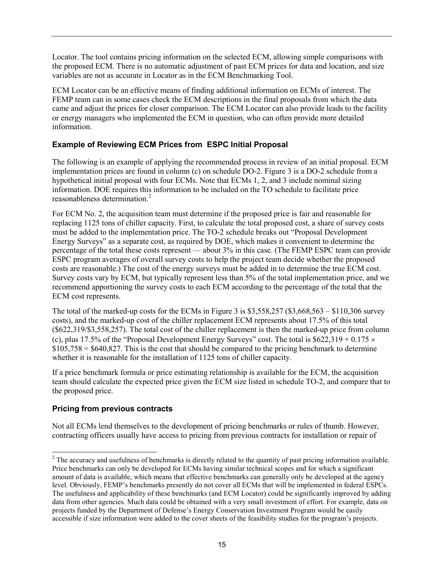Locator. The tool contains pricing information on the selected ECM, allowing simple comparisons with the proposed ECM. There is no automatic adjustment of past ECM prices for data and location, and size variables are not as accurate in Locator as in the ECM Benchmarking Tool.

ECM Locator can be an effective means of finding additional information on ECMs of interest. The FEMP team can in some cases check the ECM descriptions in the final proposals from which the data came and adjust the prices for closer comparison. The ECM Locator can also provide leads to the facility or energy managers who implemented the ECM in question, who can often provide more detailed information.

#### **Example of Reviewing ECM Prices from ESPC Initial Proposal**

The following is an example of applying the recommended process in review of an initial proposal. ECM implementation prices are found in column (c) on schedule DO-2. Figure 3 is a DO-2 schedule from a hypothetical initial proposal with four ECMs. Note that ECMs 1, 2, and 3 include nominal sizing information. DOE requires this information to be included on the TO schedule to facilitate price reasonableness determination.<sup>[2](#page-18-0)</sup>

For ECM No. 2, the acquisition team must determine if the proposed price is fair and reasonable for replacing 1125 tons of chiller capacity. First, to calculate the total proposed cost, a share of survey costs must be added to the implementation price. The TO-2 schedule breaks out "Proposal Development Energy Surveys" as a separate cost, as required by DOE, which makes it convenient to determine the percentage of the total these costs represent — about 3% in this case. (The FEMP ESPC team can provide ESPC program averages of overall survey costs to help the project team decide whether the proposed costs are reasonable.) The cost of the energy surveys must be added in to determine the true ECM cost. Survey costs vary by ECM, but typically represent less than 5% of the total implementation price, and we recommend apportioning the survey costs to each ECM according to the percentage of the total that the ECM cost represents.

The total of the marked-up costs for the ECMs in Figure 3 is \$3,558,257 (\$3,668,563 – \$110,306 survey costs), and the marked-up cost of the chiller replacement ECM represents about 17.5% of this total (\$622,319/\$3,558,257). The total cost of the chiller replacement is then the marked-up price from column (c), plus 17.5% of the "Proposal Development Energy Surveys" cost. The total is  $$622,319 + 0.175 \times$  $$105,758 = $640,827$ . This is the cost that should be compared to the pricing benchmark to determine whether it is reasonable for the installation of 1125 tons of chiller capacity.

If a price benchmark formula or price estimating relationship is available for the ECM, the acquisition team should calculate the expected price given the ECM size listed in schedule TO-2, and compare that to the proposed price.

### **Pricing from previous contracts**

Not all ECMs lend themselves to the development of pricing benchmarks or rules of thumb. However, contracting officers usually have access to pricing from previous contracts for installation or repair of

<span id="page-18-0"></span><sup>&</sup>lt;sup>2</sup> The accuracy and usefulness of benchmarks is directly related to the quantity of past pricing information available. Price benchmarks can only be developed for ECMs having similar technical scopes and for which a significant amount of data is available, which means that effective benchmarks can generally only be developed at the agency level. Obviously, FEMP's benchmarks presently do not cover all ECMs that will be implemented in federal ESPCs. The usefulness and applicability of these benchmarks (and ECM Locator) could be significantly improved by adding data from other agencies. Much data could be obtained with a very small investment of effort. For example, data on projects funded by the Department of Defense's Energy Conservation Investment Program would be easily accessible if size information were added to the cover sheets of the feasibility studies for the program's projects.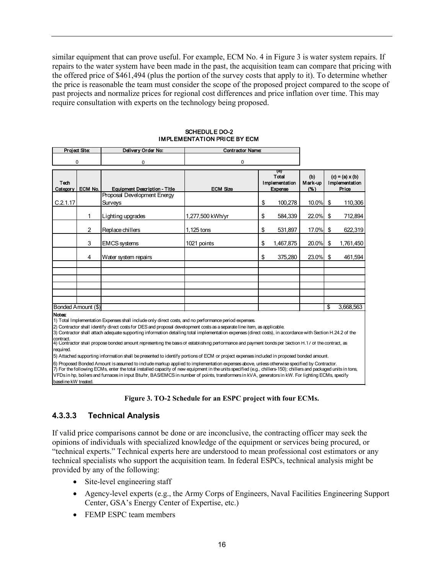similar equipment that can prove useful. For example, ECM No. 4 in Figure 3 is water system repairs. If repairs to the water system have been made in the past, the acquisition team can compare that pricing with the offered price of \$461,494 (plus the portion of the survey costs that apply to it). To determine whether the price is reasonable the team must consider the scope of the proposed project compared to the scope of past projects and normalize prices for regional cost differences and price inflation over time. This may require consultation with experts on the technology being proposed.

| Project Site:       |                    | Delivery Order No:                                                                                                                                                                                                                                                                                                                                                                                                                                                                                                                                      | <b>Contractor Name:</b> |                                                  |           |                       |                                                   |           |
|---------------------|--------------------|---------------------------------------------------------------------------------------------------------------------------------------------------------------------------------------------------------------------------------------------------------------------------------------------------------------------------------------------------------------------------------------------------------------------------------------------------------------------------------------------------------------------------------------------------------|-------------------------|--------------------------------------------------|-----------|-----------------------|---------------------------------------------------|-----------|
| O                   |                    | 0                                                                                                                                                                                                                                                                                                                                                                                                                                                                                                                                                       | 0                       |                                                  |           |                       |                                                   |           |
| Tech<br>Category    | ECM No.            | <b>Equipment Description - Title</b>                                                                                                                                                                                                                                                                                                                                                                                                                                                                                                                    | <b>ECM Size</b>         | (d)<br>Total<br>Implementation<br><b>Expense</b> |           | (b)<br>Mark-up<br>(%) | $(c) = (a) \times (b)$<br>Implementation<br>Price |           |
| C.2.1.17            |                    | Proposal Development Energy<br>Surveys                                                                                                                                                                                                                                                                                                                                                                                                                                                                                                                  |                         | \$                                               | 100,278   | 10.0%                 | \$                                                | 110,306   |
|                     | 1                  | Lighting upgrades                                                                                                                                                                                                                                                                                                                                                                                                                                                                                                                                       | 1,277,500 kWh/yr        | \$                                               | 584,339   | 22.0%                 | \$                                                | 712,894   |
|                     | 2                  | Replace chillers                                                                                                                                                                                                                                                                                                                                                                                                                                                                                                                                        | 1,125 tons              | \$                                               | 531,897   | 17.0%                 | \$                                                | 622,319   |
|                     | 3                  | <b>EMCS</b> systems                                                                                                                                                                                                                                                                                                                                                                                                                                                                                                                                     | 1021 points             | \$                                               | 1,467,875 | 20.0%                 | \$                                                | 1,761,450 |
|                     | 4                  | Water system repairs                                                                                                                                                                                                                                                                                                                                                                                                                                                                                                                                    |                         | \$                                               | 375,280   | 23.0%                 | \$                                                | 461,594   |
|                     |                    |                                                                                                                                                                                                                                                                                                                                                                                                                                                                                                                                                         |                         |                                                  |           |                       |                                                   |           |
|                     |                    |                                                                                                                                                                                                                                                                                                                                                                                                                                                                                                                                                         |                         |                                                  |           |                       |                                                   |           |
|                     |                    |                                                                                                                                                                                                                                                                                                                                                                                                                                                                                                                                                         |                         |                                                  |           |                       |                                                   |           |
|                     | Bonded Amount (\$) |                                                                                                                                                                                                                                                                                                                                                                                                                                                                                                                                                         |                         |                                                  |           |                       | \$                                                | 3,668,563 |
| Notes:<br>contract. |                    | 1) Total Implementation Expenses shall include only direct costs, and no performance period expenses.<br>2) Contractor shall identify direct costs for DES and proposal development costs as a separate line item, as applicable.<br>3) Contractor shall attach adequate supporting information detailing total implementation expenses (direct costs), in accordance with Section H.24.2 of the<br>4) Contractor shall propose bonded amount representing the basis of establishing performance and payment bonds per Section H.17 of the contract, as |                         |                                                  |           |                       |                                                   |           |

#### SCHEDULE DO-2 IMPLEMENTATION PRICE BY ECM

required.

5) Attached supporting information shall be presented to identify portions of ECM or project expenses included in proposed bonded amount.

7) For the following ECMs, enter the total installed capacity of new equipment in the units specified (e.g., chillers-150); chillers and packaged units in tons, VFDs in hp, boilers and furnaces in input Btu/hr, BAS/EMCS in number of points, transformers in kVA, generators in kW. For lighting ECMs, specify baseline kW treated. 6) Proposed Bonded Amount is assumed to include markup applied to implementation expenses above, unless otherwise specified by Contractor.

#### **Figure 3. TO-2 Schedule for an ESPC project with four ECMs.**

### **4.3.3.3 Technical Analysis**

If valid price comparisons cannot be done or are inconclusive, the contracting officer may seek the opinions of individuals with specialized knowledge of the equipment or services being procured, or "technical experts." Technical experts here are understood to mean professional cost estimators or any technical specialists who support the acquisition team. In federal ESPCs, technical analysis might be provided by any of the following:

- Site-level engineering staff
- Agency-level experts (e.g., the Army Corps of Engineers, Naval Facilities Engineering Support Center, GSA's Energy Center of Expertise, etc.)
- FEMP ESPC team members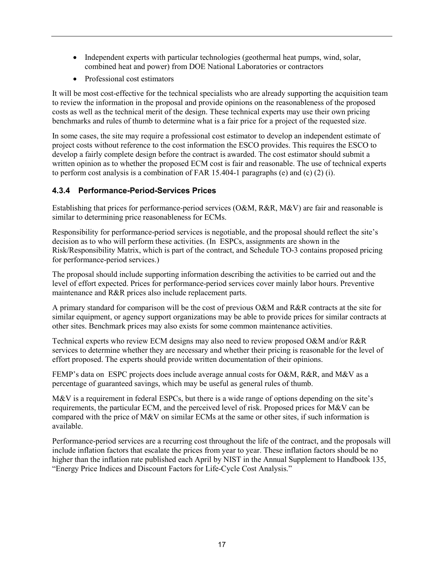- Independent experts with particular technologies (geothermal heat pumps, wind, solar, combined heat and power) from DOE National Laboratories or contractors
- Professional cost estimators

It will be most cost-effective for the technical specialists who are already supporting the acquisition team to review the information in the proposal and provide opinions on the reasonableness of the proposed costs as well as the technical merit of the design. These technical experts may use their own pricing benchmarks and rules of thumb to determine what is a fair price for a project of the requested size.

In some cases, the site may require a professional cost estimator to develop an independent estimate of project costs without reference to the cost information the ESCO provides. This requires the ESCO to develop a fairly complete design before the contract is awarded. The cost estimator should submit a written opinion as to whether the proposed ECM cost is fair and reasonable. The use of technical experts to perform cost analysis is a combination of FAR 15.404-1 paragraphs (e) and (c) (2) (i).

## <span id="page-20-0"></span>**4.3.4 Performance-Period-Services Prices**

Establishing that prices for performance-period services (O&M, R&R, M&V) are fair and reasonable is similar to determining price reasonableness for ECMs.

Responsibility for performance-period services is negotiable, and the proposal should reflect the site's decision as to who will perform these activities. (In ESPCs, assignments are shown in the Risk/Responsibility Matrix, which is part of the contract, and Schedule TO-3 contains proposed pricing for performance-period services.)

The proposal should include supporting information describing the activities to be carried out and the level of effort expected. Prices for performance-period services cover mainly labor hours. Preventive maintenance and R&R prices also include replacement parts.

A primary standard for comparison will be the cost of previous O&M and R&R contracts at the site for similar equipment, or agency support organizations may be able to provide prices for similar contracts at other sites. Benchmark prices may also exists for some common maintenance activities.

Technical experts who review ECM designs may also need to review proposed O&M and/or R&R services to determine whether they are necessary and whether their pricing is reasonable for the level of effort proposed. The experts should provide written documentation of their opinions.

FEMP's data on ESPC projects does include average annual costs for O&M, R&R, and M&V as a percentage of guaranteed savings, which may be useful as general rules of thumb.

M&V is a requirement in federal ESPCs, but there is a wide range of options depending on the site's requirements, the particular ECM, and the perceived level of risk. Proposed prices for M&V can be compared with the price of M&V on similar ECMs at the same or other sites, if such information is available.

Performance-period services are a recurring cost throughout the life of the contract, and the proposals will include inflation factors that escalate the prices from year to year. These inflation factors should be no higher than the inflation rate published each April by NIST in the Annual Supplement to Handbook 135, "Energy Price Indices and Discount Factors for Life-Cycle Cost Analysis."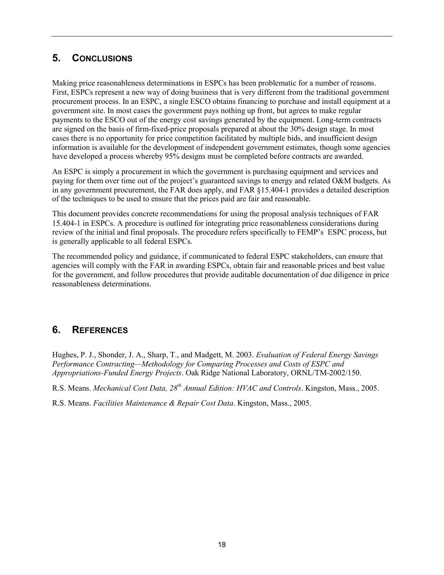# <span id="page-21-0"></span>**5. CONCLUSIONS**

Making price reasonableness determinations in ESPCs has been problematic for a number of reasons. First, ESPCs represent a new way of doing business that is very different from the traditional government procurement process. In an ESPC, a single ESCO obtains financing to purchase and install equipment at a government site. In most cases the government pays nothing up front, but agrees to make regular payments to the ESCO out of the energy cost savings generated by the equipment. Long-term contracts are signed on the basis of firm-fixed-price proposals prepared at about the 30% design stage. In most cases there is no opportunity for price competition facilitated by multiple bids, and insufficient design information is available for the development of independent government estimates, though some agencies have developed a process whereby 95% designs must be completed before contracts are awarded.

An ESPC is simply a procurement in which the government is purchasing equipment and services and paying for them over time out of the project's guaranteed savings to energy and related O&M budgets. As in any government procurement, the FAR does apply, and FAR §15.404-1 provides a detailed description of the techniques to be used to ensure that the prices paid are fair and reasonable.

This document provides concrete recommendations for using the proposal analysis techniques of FAR 15.404-1 in ESPCs. A procedure is outlined for integrating price reasonableness considerations during review of the initial and final proposals. The procedure refers specifically to FEMP's ESPC process, but is generally applicable to all federal ESPCs.

The recommended policy and guidance, if communicated to federal ESPC stakeholders, can ensure that agencies will comply with the FAR in awarding ESPCs, obtain fair and reasonable prices and best value for the government, and follow procedures that provide auditable documentation of due diligence in price reasonableness determinations.

## <span id="page-21-1"></span>**6. REFERENCES**

Hughes, P. J., Shonder, J. A., Sharp, T., and Madgett, M. 2003. *Evaluation of Federal Energy Savings Performance Contracting—Methodology for Comparing Processes and Costs of ESPC and Appropriations-Funded Energy Projects*. Oak Ridge National Laboratory, ORNL/TM-2002/150.

R.S. Means. *Mechanical Cost Data, 28th Annual Edition: HVAC and Controls*. Kingston, Mass., 2005.

R.S. Means. *Facilities Maintenance & Repair Cost Data*. Kingston, Mass., 2005.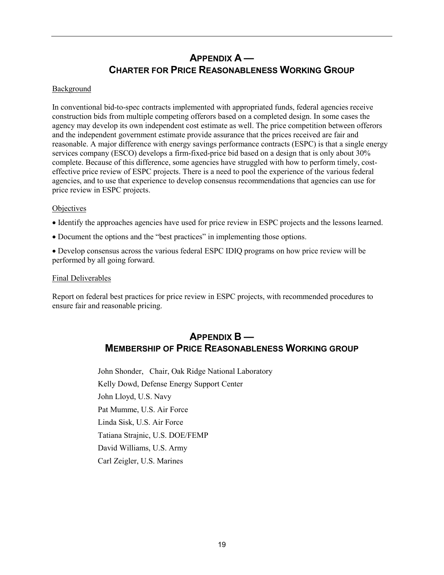# **APPENDIX A — CHARTER FOR PRICE REASONABLENESS WORKING GROUP**

#### <span id="page-22-0"></span>Background

In conventional bid-to-spec contracts implemented with appropriated funds, federal agencies receive construction bids from multiple competing offerors based on a completed design. In some cases the agency may develop its own independent cost estimate as well. The price competition between offerors and the independent government estimate provide assurance that the prices received are fair and reasonable. A major difference with energy savings performance contracts (ESPC) is that a single energy services company (ESCO) develops a firm-fixed-price bid based on a design that is only about 30% complete. Because of this difference, some agencies have struggled with how to perform timely, costeffective price review of ESPC projects. There is a need to pool the experience of the various federal agencies, and to use that experience to develop consensus recommendations that agencies can use for price review in ESPC projects.

#### **Objectives**

• Identify the approaches agencies have used for price review in ESPC projects and the lessons learned.

• Document the options and the "best practices" in implementing those options.

• Develop consensus across the various federal ESPC IDIQ programs on how price review will be performed by all going forward.

#### Final Deliverables

<span id="page-22-1"></span>Report on federal best practices for price review in ESPC projects, with recommended procedures to ensure fair and reasonable pricing.

## **APPENDIX B — MEMBERSHIP OF PRICE REASONABLENESS WORKING GROUP**

John Shonder, Chair, Oak Ridge National Laboratory Kelly Dowd, Defense Energy Support Center John Lloyd, U.S. Navy Pat Mumme, U.S. Air Force Linda Sisk, U.S. Air Force Tatiana Strajnic, U.S. DOE/FEMP David Williams, U.S. Army Carl Zeigler, U.S. Marines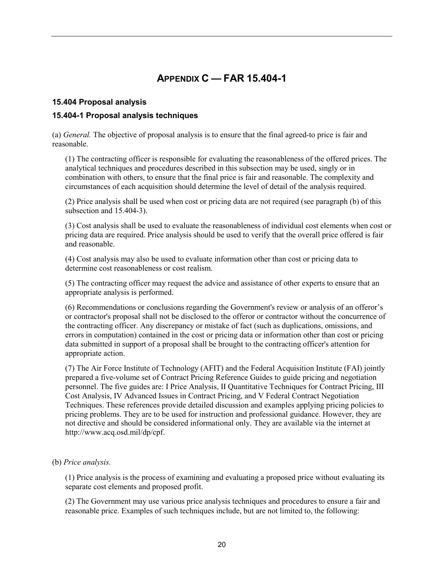# **APPENDIX C — FAR 15.404-1**

#### <span id="page-23-0"></span>**15.404 Proposal analysis**

#### **15.404-1 Proposal analysis techniques**

(a) *General.* The objective of proposal analysis is to ensure that the final agreed-to price is fair and reasonable.

(1) The contracting officer is responsible for evaluating the reasonableness of the offered prices. The analytical techniques and procedures described in this subsection may be used, singly or in combination with others, to ensure that the final price is fair and reasonable. The complexity and circumstances of each acquisition should determine the level of detail of the analysis required.

(2) Price analysis shall be used when cost or pricing data are not required (see paragraph (b) of this subsection and 15.404-3).

(3) Cost analysis shall be used to evaluate the reasonableness of individual cost elements when cost or pricing data are required. Price analysis should be used to verify that the overall price offered is fair and reasonable.

(4) Cost analysis may also be used to evaluate information other than cost or pricing data to determine cost reasonableness or cost realism.

(5) The contracting officer may request the advice and assistance of other experts to ensure that an appropriate analysis is performed.

(6) Recommendations or conclusions regarding the Government's review or analysis of an offeror's or contractor's proposal shall not be disclosed to the offeror or contractor without the concurrence of the contracting officer. Any discrepancy or mistake of fact (such as duplications, omissions, and errors in computation) contained in the cost or pricing data or information other than cost or pricing data submitted in support of a proposal shall be brought to the contracting officer's attention for appropriate action.

(7) The Air Force Institute of Technology (AFIT) and the Federal Acquisition Institute (FAI) jointly prepared a five-volume set of Contract Pricing Reference Guides to guide pricing and negotiation personnel. The five guides are: I Price Analysis, II Quantitative Techniques for Contract Pricing, III Cost Analysis, IV Advanced Issues in Contract Pricing, and V Federal Contract Negotiation Techniques. These references provide detailed discussion and examples applying pricing policies to pricing problems. They are to be used for instruction and professional guidance. However, they are not directive and should be considered informational only. They are available via the internet at http://www.acq.osd.mil/dp/cpf.

(b) *Price analysis.*

(1) Price analysis is the process of examining and evaluating a proposed price without evaluating its separate cost elements and proposed profit.

(2) The Government may use various price analysis techniques and procedures to ensure a fair and reasonable price. Examples of such techniques include, but are not limited to, the following: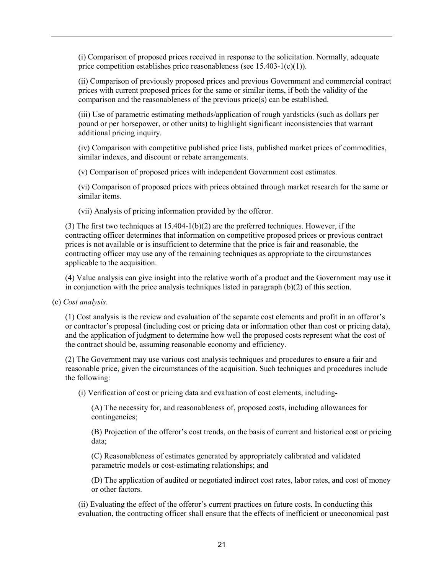(i) Comparison of proposed prices received in response to the solicitation. Normally, adequate price competition establishes price reasonableness (see 15.403-1(c)(1)).

(ii) Comparison of previously proposed prices and previous Government and commercial contract prices with current proposed prices for the same or similar items, if both the validity of the comparison and the reasonableness of the previous price(s) can be established.

(iii) Use of parametric estimating methods/application of rough yardsticks (such as dollars per pound or per horsepower, or other units) to highlight significant inconsistencies that warrant additional pricing inquiry.

(iv) Comparison with competitive published price lists, published market prices of commodities, similar indexes, and discount or rebate arrangements.

(v) Comparison of proposed prices with independent Government cost estimates.

(vi) Comparison of proposed prices with prices obtained through market research for the same or similar items.

(vii) Analysis of pricing information provided by the offeror.

(3) The first two techniques at 15.404-1(b)(2) are the preferred techniques. However, if the contracting officer determines that information on competitive proposed prices or previous contract prices is not available or is insufficient to determine that the price is fair and reasonable, the contracting officer may use any of the remaining techniques as appropriate to the circumstances applicable to the acquisition.

(4) Value analysis can give insight into the relative worth of a product and the Government may use it in conjunction with the price analysis techniques listed in paragraph  $(b)(2)$  of this section.

(c) *Cost analysis*.

(1) Cost analysis is the review and evaluation of the separate cost elements and profit in an offeror's or contractor's proposal (including cost or pricing data or information other than cost or pricing data), and the application of judgment to determine how well the proposed costs represent what the cost of the contract should be, assuming reasonable economy and efficiency.

(2) The Government may use various cost analysis techniques and procedures to ensure a fair and reasonable price, given the circumstances of the acquisition. Such techniques and procedures include the following:

(i) Verification of cost or pricing data and evaluation of cost elements, including-

(A) The necessity for, and reasonableness of, proposed costs, including allowances for contingencies;

(B) Projection of the offeror's cost trends, on the basis of current and historical cost or pricing data;

(C) Reasonableness of estimates generated by appropriately calibrated and validated parametric models or cost-estimating relationships; and

(D) The application of audited or negotiated indirect cost rates, labor rates, and cost of money or other factors.

(ii) Evaluating the effect of the offeror's current practices on future costs. In conducting this evaluation, the contracting officer shall ensure that the effects of inefficient or uneconomical past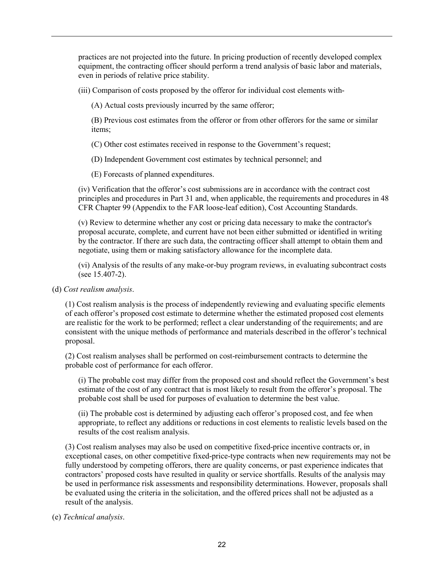practices are not projected into the future. In pricing production of recently developed complex equipment, the contracting officer should perform a trend analysis of basic labor and materials, even in periods of relative price stability.

(iii) Comparison of costs proposed by the offeror for individual cost elements with-

(A) Actual costs previously incurred by the same offeror;

(B) Previous cost estimates from the offeror or from other offerors for the same or similar items;

(C) Other cost estimates received in response to the Government's request;

(D) Independent Government cost estimates by technical personnel; and

(E) Forecasts of planned expenditures.

(iv) Verification that the offeror's cost submissions are in accordance with the contract cost principles and procedures in Part 31 and, when applicable, the requirements and procedures in 48 CFR Chapter 99 (Appendix to the FAR loose-leaf edition), Cost Accounting Standards.

(v) Review to determine whether any cost or pricing data necessary to make the contractor's proposal accurate, complete, and current have not been either submitted or identified in writing by the contractor. If there are such data, the contracting officer shall attempt to obtain them and negotiate, using them or making satisfactory allowance for the incomplete data.

(vi) Analysis of the results of any make-or-buy program reviews, in evaluating subcontract costs (see 15.407-2).

#### (d) *Cost realism analysis*.

(1) Cost realism analysis is the process of independently reviewing and evaluating specific elements of each offeror's proposed cost estimate to determine whether the estimated proposed cost elements are realistic for the work to be performed; reflect a clear understanding of the requirements; and are consistent with the unique methods of performance and materials described in the offeror's technical proposal.

(2) Cost realism analyses shall be performed on cost-reimbursement contracts to determine the probable cost of performance for each offeror.

(i) The probable cost may differ from the proposed cost and should reflect the Government's best estimate of the cost of any contract that is most likely to result from the offeror's proposal. The probable cost shall be used for purposes of evaluation to determine the best value.

(ii) The probable cost is determined by adjusting each offeror's proposed cost, and fee when appropriate, to reflect any additions or reductions in cost elements to realistic levels based on the results of the cost realism analysis.

(3) Cost realism analyses may also be used on competitive fixed-price incentive contracts or, in exceptional cases, on other competitive fixed-price-type contracts when new requirements may not be fully understood by competing offerors, there are quality concerns, or past experience indicates that contractors' proposed costs have resulted in quality or service shortfalls. Results of the analysis may be used in performance risk assessments and responsibility determinations. However, proposals shall be evaluated using the criteria in the solicitation, and the offered prices shall not be adjusted as a result of the analysis.

(e) *Technical analysis*.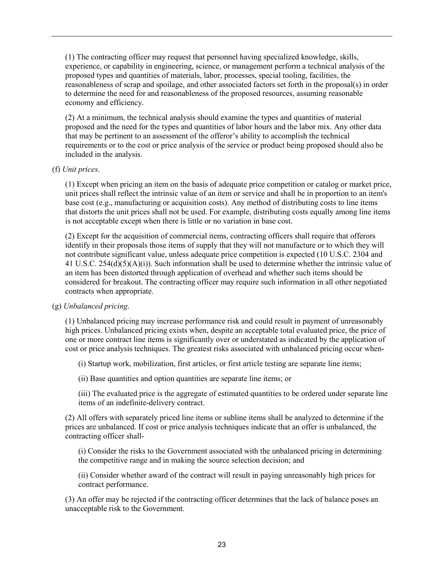(1) The contracting officer may request that personnel having specialized knowledge, skills, experience, or capability in engineering, science, or management perform a technical analysis of the proposed types and quantities of materials, labor, processes, special tooling, facilities, the reasonableness of scrap and spoilage, and other associated factors set forth in the proposal(s) in order to determine the need for and reasonableness of the proposed resources, assuming reasonable economy and efficiency.

(2) At a minimum, the technical analysis should examine the types and quantities of material proposed and the need for the types and quantities of labor hours and the labor mix. Any other data that may be pertinent to an assessment of the offeror's ability to accomplish the technical requirements or to the cost or price analysis of the service or product being proposed should also be included in the analysis.

#### (f) *Unit prices*.

(1) Except when pricing an item on the basis of adequate price competition or catalog or market price, unit prices shall reflect the intrinsic value of an item or service and shall be in proportion to an item's base cost (e.g., manufacturing or acquisition costs). Any method of distributing costs to line items that distorts the unit prices shall not be used. For example, distributing costs equally among line items is not acceptable except when there is little or no variation in base cost.

(2) Except for the acquisition of commercial items, contracting officers shall require that offerors identify in their proposals those items of supply that they will not manufacture or to which they will not contribute significant value, unless adequate price competition is expected (10 U.S.C. 2304 and 41 U.S.C. 254(d)(5)(A)(i)). Such information shall be used to determine whether the intrinsic value of an item has been distorted through application of overhead and whether such items should be considered for breakout. The contracting officer may require such information in all other negotiated contracts when appropriate.

(g) *Unbalanced pricing*.

(1) Unbalanced pricing may increase performance risk and could result in payment of unreasonably high prices. Unbalanced pricing exists when, despite an acceptable total evaluated price, the price of one or more contract line items is significantly over or understated as indicated by the application of cost or price analysis techniques. The greatest risks associated with unbalanced pricing occur when-

(i) Startup work, mobilization, first articles, or first article testing are separate line items;

(ii) Base quantities and option quantities are separate line items; or

(iii) The evaluated price is the aggregate of estimated quantities to be ordered under separate line items of an indefinite-delivery contract.

(2) All offers with separately priced line items or subline items shall be analyzed to determine if the prices are unbalanced. If cost or price analysis techniques indicate that an offer is unbalanced, the contracting officer shall-

(i) Consider the risks to the Government associated with the unbalanced pricing in determining the competitive range and in making the source selection decision; and

(ii) Consider whether award of the contract will result in paying unreasonably high prices for contract performance.

(3) An offer may be rejected if the contracting officer determines that the lack of balance poses an unacceptable risk to the Government.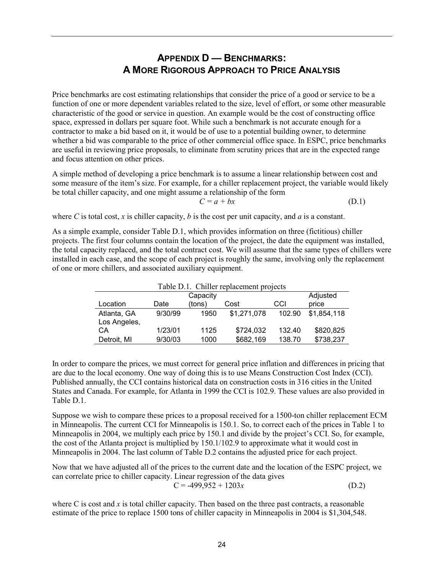# **APPENDIX D — BENCHMARKS: A MORE RIGOROUS APPROACH TO PRICE ANALYSIS**

<span id="page-27-0"></span>Price benchmarks are cost estimating relationships that consider the price of a good or service to be a function of one or more dependent variables related to the size, level of effort, or some other measurable characteristic of the good or service in question. An example would be the cost of constructing office space, expressed in dollars per square foot. While such a benchmark is not accurate enough for a contractor to make a bid based on it, it would be of use to a potential building owner, to determine whether a bid was comparable to the price of other commercial office space. In ESPC, price benchmarks are useful in reviewing price proposals, to eliminate from scrutiny prices that are in the expected range and focus attention on other prices.

A simple method of developing a price benchmark is to assume a linear relationship between cost and some measure of the item's size. For example, for a chiller replacement project, the variable would likely be total chiller capacity, and one might assume a relationship of the form

$$
C = a + bx \tag{D.1}
$$

where *C* is total cost, *x* is chiller capacity, *b* is the cost per unit capacity, and *a* is a constant.

As a simple example, consider Table D.1, which provides information on three (fictitious) chiller projects. The first four columns contain the location of the project, the date the equipment was installed, the total capacity replaced, and the total contract cost. We will assume that the same types of chillers were installed in each case, and the scope of each project is roughly the same, involving only the replacement of one or more chillers, and associated auxiliary equipment.

| Table D.1. Chiller replacement projects |         |          |             |        |             |  |  |
|-----------------------------------------|---------|----------|-------------|--------|-------------|--|--|
|                                         |         | Capacity |             |        | Adjusted    |  |  |
| Location                                | Date    | (tons)   | Cost        | CCI    | price       |  |  |
| Atlanta, GA                             | 9/30/99 | 1950     | \$1,271,078 | 102.90 | \$1,854,118 |  |  |
| Los Angeles,                            |         |          |             |        |             |  |  |
| СA                                      | 1/23/01 | 1125     | \$724,032   | 132.40 | \$820,825   |  |  |
| Detroit, MI                             | 9/30/03 | 1000     | \$682,169   | 138.70 | \$738,237   |  |  |

In order to compare the prices, we must correct for general price inflation and differences in pricing that are due to the local economy. One way of doing this is to use Means Construction Cost Index (CCI). Published annually, the CCI contains historical data on construction costs in 316 cities in the United States and Canada. For example, for Atlanta in 1999 the CCI is 102.9. These values are also provided in Table D.1.

Suppose we wish to compare these prices to a proposal received for a 1500-ton chiller replacement ECM in Minneapolis. The current CCI for Minneapolis is 150.1. So, to correct each of the prices in Table 1 to Minneapolis in 2004, we multiply each price by 150.1 and divide by the project's CCI. So, for example, the cost of the Atlanta project is multiplied by 150.1/102.9 to approximate what it would cost in Minneapolis in 2004. The last column of Table D.2 contains the adjusted price for each project.

Now that we have adjusted all of the prices to the current date and the location of the ESPC project, we can correlate price to chiller capacity. Linear regression of the data gives  $C = -499.952 + 1203x$  (D.2)

where C is cost and x is total chiller capacity. Then based on the three past contracts, a reasonable estimate of the price to replace 1500 tons of chiller capacity in Minneapolis in 2004 is \$1,304,548.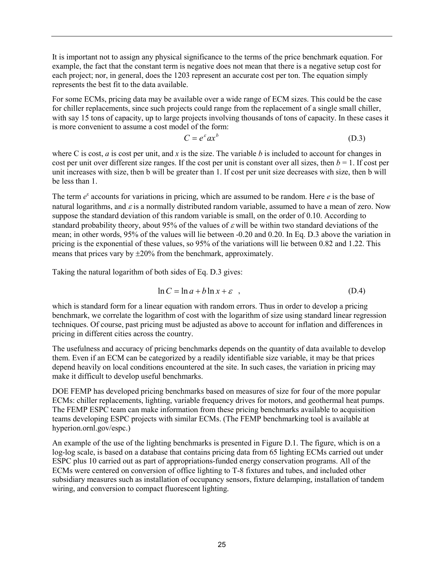It is important not to assign any physical significance to the terms of the price benchmark equation. For example, the fact that the constant term is negative does not mean that there is a negative setup cost for each project; nor, in general, does the 1203 represent an accurate cost per ton. The equation simply represents the best fit to the data available.

For some ECMs, pricing data may be available over a wide range of ECM sizes. This could be the case for chiller replacements, since such projects could range from the replacement of a single small chiller, with say 15 tons of capacity, up to large projects involving thousands of tons of capacity. In these cases it is more convenient to assume a cost model of the form:

$$
C = e^{\varepsilon} a x^b \tag{D.3}
$$

where C is cost, *a* is cost per unit, and *x* is the size. The variable *b* is included to account for changes in cost per unit over different size ranges. If the cost per unit is constant over all sizes, then  $b = 1$ . If cost per unit increases with size, then b will be greater than 1. If cost per unit size decreases with size, then b will be less than 1.

The term  $e^{\epsilon}$  accounts for variations in pricing, which are assumed to be random. Here  $e$  is the base of natural logarithms, and  $\varepsilon$  is a normally distributed random variable, assumed to have a mean of zero. Now suppose the standard deviation of this random variable is small, on the order of 0.10. According to standard probability theory, about 95% of the values of  $\varepsilon$  will be within two standard deviations of the mean; in other words, 95% of the values will lie between -0.20 and 0.20. In Eq. D.3 above the variation in pricing is the exponential of these values, so 95% of the variations will lie between 0.82 and 1.22. This means that prices vary by  $\pm 20\%$  from the benchmark, approximately.

Taking the natural logarithm of both sides of Eq. D.3 gives:

$$
\ln C = \ln a + b \ln x + \varepsilon \quad , \tag{D.4}
$$

which is standard form for a linear equation with random errors. Thus in order to develop a pricing benchmark, we correlate the logarithm of cost with the logarithm of size using standard linear regression techniques. Of course, past pricing must be adjusted as above to account for inflation and differences in pricing in different cities across the country.

The usefulness and accuracy of pricing benchmarks depends on the quantity of data available to develop them. Even if an ECM can be categorized by a readily identifiable size variable, it may be that prices depend heavily on local conditions encountered at the site. In such cases, the variation in pricing may make it difficult to develop useful benchmarks.

DOE FEMP has developed pricing benchmarks based on measures of size for four of the more popular ECMs: chiller replacements, lighting, variable frequency drives for motors, and geothermal heat pumps. The FEMP ESPC team can make information from these pricing benchmarks available to acquisition teams developing ESPC projects with similar ECMs. (The FEMP benchmarking tool is available at hyperion.ornl.gov/espc.)

An example of the use of the lighting benchmarks is presented in Figure D.1. The figure, which is on a log-log scale, is based on a database that contains pricing data from 65 lighting ECMs carried out under ESPC plus 10 carried out as part of appropriations-funded energy conservation programs. All of the ECMs were centered on conversion of office lighting to T-8 fixtures and tubes, and included other subsidiary measures such as installation of occupancy sensors, fixture delamping, installation of tandem wiring, and conversion to compact fluorescent lighting.